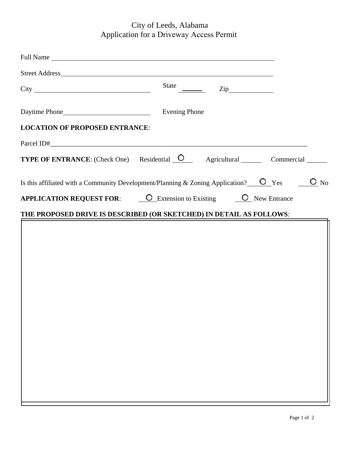## City of Leeds, Alabama Application for a Driveway Access Permit

| State $\overline{\phantom{a}}$<br>$\mathsf{Zip}\_\_$                                                                                                 |
|------------------------------------------------------------------------------------------------------------------------------------------------------|
| <b>Evening Phone</b>                                                                                                                                 |
| <b>LOCATION OF PROPOSED ENTRANCE:</b>                                                                                                                |
|                                                                                                                                                      |
| <b>TYPE OF ENTRANCE:</b> (Check One) Residential O Agricultural Commercial Commercial                                                                |
| Is this affiliated with a Community Development/Planning & Zoning Application? $\overline{\phantom{a}}$ Yes $\overline{\phantom{a}}$<br>$\bullet$ No |
| <b>APPLICATION REQUEST FOR:</b> O Extension to Existing O New Entrance                                                                               |
| THE PROPOSED DRIVE IS DESCRIBED (OR SKETCHED) IN DETAIL AS FOLLOWS:                                                                                  |
|                                                                                                                                                      |
|                                                                                                                                                      |
|                                                                                                                                                      |
|                                                                                                                                                      |
|                                                                                                                                                      |
|                                                                                                                                                      |
|                                                                                                                                                      |
|                                                                                                                                                      |
|                                                                                                                                                      |
|                                                                                                                                                      |
|                                                                                                                                                      |
|                                                                                                                                                      |